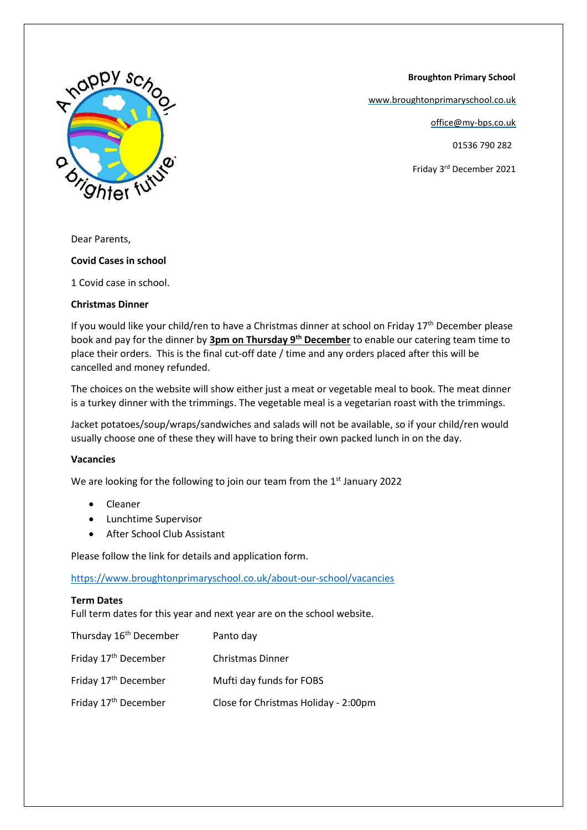**Broughton Primary School**

[www.broughtonprimaryschool.co.uk](http://www.broughtonprimaryschool.co.uk/)

office@my-bps.co.uk

01536 790 282

Friday 3rd December 2021



Dear Parents,

## **Covid Cases in school**

1 Covid case in school.

## **Christmas Dinner**

If you would like your child/ren to have a Christmas dinner at school on Friday  $17<sup>th</sup>$  December please book and pay for the dinner by **3pm on Thursday 9th December** to enable our catering team time to place their orders. This is the final cut-off date / time and any orders placed after this will be cancelled and money refunded.

The choices on the website will show either just a meat or vegetable meal to book. The meat dinner is a turkey dinner with the trimmings. The vegetable meal is a vegetarian roast with the trimmings.

Jacket potatoes/soup/wraps/sandwiches and salads will not be available, so if your child/ren would usually choose one of these they will have to bring their own packed lunch in on the day.

## **Vacancies**

We are looking for the following to join our team from the  $1<sup>st</sup>$  January 2022

- Cleaner
- Lunchtime Supervisor
- After School Club Assistant

Please follow the link for details and application form.

<https://www.broughtonprimaryschool.co.uk/about-our-school/vacancies>

## **Term Dates**

Full term dates for this year and next year are on the school website.

| Thursday 16 <sup>th</sup> December | Panto day                            |
|------------------------------------|--------------------------------------|
| Friday 17 <sup>th</sup> December   | <b>Christmas Dinner</b>              |
| Friday 17 <sup>th</sup> December   | Mufti day funds for FOBS             |
| Friday 17 <sup>th</sup> December   | Close for Christmas Holiday - 2:00pm |